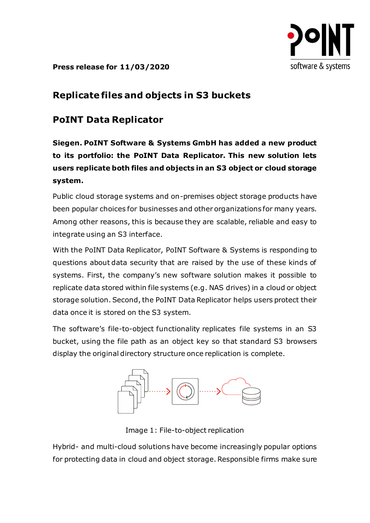

**Press release for 11/03/2020**

## **Replicate files and objects in S3 buckets**

# **PoINT Data Replicator**

**Siegen. PoINT Software & Systems GmbH has added a new product to its portfolio: the PoINT Data Replicator. This new solution lets users replicate both files and objects in an S3 object or cloud storage system.**

Public cloud storage systems and on-premises object storage products have been popular choices for businesses and other organizations for many years. Among other reasons, this is because they are scalable, reliable and easy to integrate using an S3 interface.

With the PoINT Data Replicator, PoINT Software & Systems is responding to questions about data security that are raised by the use of these kinds of systems. First, the company's new software solution makes it possible to replicate data stored within file systems (e.g. NAS drives) in a cloud or object storage solution. Second, the PoINT Data Replicator helps users protect their data once it is stored on the S3 system.

The software's file-to-object functionality replicates file systems in an S3 bucket, using the file path as an object key so that standard S3 browsers display the original directory structure once replication is complete.



Image 1: File-to-object replication

Hybrid- and multi-cloud solutions have become increasingly popular options for protecting data in cloud and object storage. Responsible firms make sure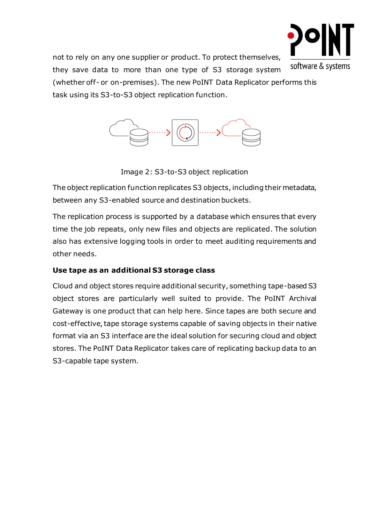

not to rely on any one supplier or product. To protect themselves, they save data to more than one type of S3 storage system (whether off- or on-premises). The new PoINT Data Replicator performs this task using its S3-to-S3 object replication function.



Image 2: S3-to-S3 object replication

The object replication function replicates S3 objects, including their metadata, between any S3-enabled source and destination buckets.

The replication process is supported by a database which ensures that every time the job repeats, only new files and objects are replicated. The solution also has extensive logging tools in order to meet auditing requirements and other needs.

### **Use tape as an additional S3 storage class**

Cloud and object stores require additional security, something tape-based S3 object stores are particularly well suited to provide. The PoINT Archival Gateway is one product that can help here. Since tapes are both secure and cost-effective, tape storage systems capable of saving objects in their native format via an S3 interface are the ideal solution for securing cloud and object stores. The PoINT Data Replicator takes care of replicating backup data to an S3-capable tape system.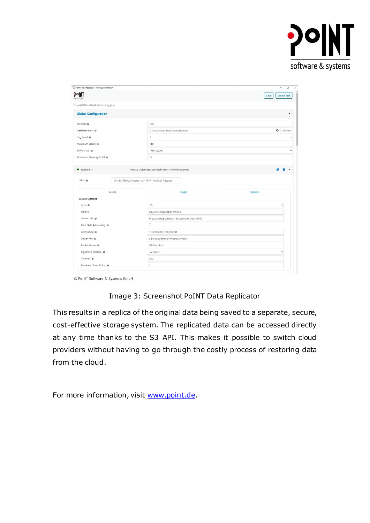

| PoINT Data Replicator - Configuration Editor |                                                   | $\Box$<br>٠                |
|----------------------------------------------|---------------------------------------------------|----------------------------|
| POINT                                        |                                                   | <b>Create Task</b><br>Save |
| C:\Install\Data Replicator\config.json       |                                                   |                            |
| <b>Global Configuration</b>                  |                                                   | ٠                          |
| Threads: @                                   | 100                                               |                            |
| Database Path: @                             | C:\Install\Data Replicator\database               | $\circ$<br>Browse          |
| Log Level: @                                 | $\overline{2}$                                    | v                          |
| Maximum Errors: @                            | 110                                               |                            |
| Buffer Size: @                               | 1024 KByte                                        | Ŵ                          |
| Maximum Memory in GB: @                      | 12                                                |                            |
| · Enabled *                                  | Von S3 Object Storage nach PoINT Archival Gateway |                            |
| Alias: @                                     | Von S3 Object Storage nach PoINT Archival Gateway |                            |
| Source                                       | Target                                            | Options                    |
| <b>Source Options</b>                        |                                                   |                            |
| Type: @                                      | S3                                                | v                          |
| Path: @                                      | Object Storage\1MB-500MB                          |                            |
| Server URL: @                                | http://s3.pag-compact-test.alphatest.local:4080   |                            |
| Path Style Addressing: @                     | $\Box$                                            |                            |
| Access Key: @                                | 110200608C31E63C8CB1                              |                            |
| Secret Key: @                                | SibiPV6odBHYLBlPfH8DZXGW8ec=                      |                            |
| Bucket Name: @                               | ORP-Achim-1                                       |                            |
| Signature Version: @                         | Version 2                                         |                            |
| Timeout: @                                   | 300                                               |                            |

© PoINT Software & Systems GmbH

Image 3: Screenshot PoINT Data Replicator

This results in a replica of the original data being saved to a separate, secure, cost-effective storage system. The replicated data can be accessed directly at any time thanks to the S3 API. This makes it possible to switch cloud providers without having to go through the costly process of restoring data from the cloud.

For more information, visit [www.point.de.](file://///POINT3/PoINT_Common/Marketing/Presse/Pressemitteilungen/2020_PI/PSM/PoINT-Storage-Manager-6.5/www.point.de)